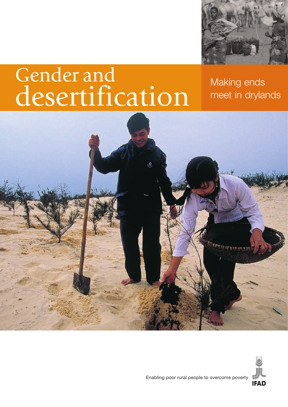

# Gender and desertification

Making ends meet in drylands





Enabling poor rural people to overcome poverty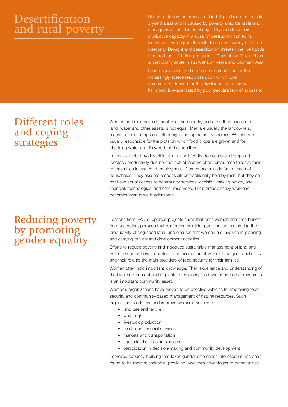# Desertification and rural poverty

Desertification is the process of land degradation that affects dryland areas and is caused by poverty, unsustainable land management and climate change. Drylands lose their productive capacity in a spiral of destruction that twins increased land degradation with increased poverty and food insecurity. Drought and desertification threaten the livelihoods of more than 1.2 billion people in 110 countries. The problem is particularly acute in sub-Saharan Africa and Southern Asia. Land degradation leads to greater competition for the increasingly scarce resources upon which rural communities depend for their livelihoods and survival.

Its impact is exacerbated by poor people's lack of access to

Different roles and coping strategies

Women and men have different roles and needs, and often their access to land, water and other assets is not equal. Men are usually the landowners, managing cash crops and other high-earning natural resources. Women are usually responsible for the plots on which food crops are grown and for obtaining water and firewood for their families.

In areas affected by desertification, as soil fertility decreases and crop and livestock productivity decline, the lack of income often forces men to leave their communities in search of employment. Women become de facto heads of households. They assume responsibilities traditionally held by men, but they do not have equal access to community services, decision-making power, and financial, technological and other resources. Their already heavy workload becomes even more burdensome.

## Reducing poverty by promoting gender equality

Lessons from IFAD-supported projects show that both women and men benefit from a gender approach that reinforces their joint participation in restoring the productivity of degraded land, and ensures that women are involved in planning and carrying out dryland development activities.

Efforts to reduce poverty and introduce sustainable management of land and water resources have benefited from recognition of women's unique capabilities and their role as the main providers of food security for their families.

Women often hold important knowledge. Their experience and understanding of the local environment and of plants, medicines, food, water and other resources is an important community asset.

Women's organizations have proven to be effective vehicles for improving food security and community-based management of natural resources. Such organizations address and improve women's access to:

- land use and tenure
- water rights
- livestock production
- credit and financial services
- markets and transportation
- agricultural extension services
- participation in decision-making and community development

Improved capacity-building that takes gender differences into account has been found to be more sustainable, providing long-term advantages to communities.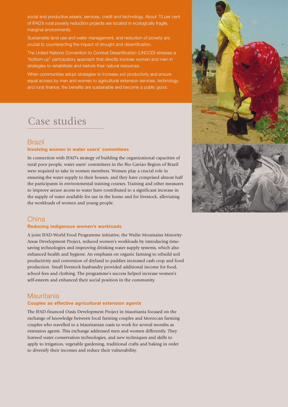social and productive assets, services, credit and technology. About 70 per cent of IFAD's rural poverty reduction projects are located in ecologically fragile, marginal environments.

Sustainable land use and water management, and reduction of poverty are crucial to counteracting the impact of drought and desertification.

The United Nations Convention to Combat Desertification (UNCCD) stresses a "bottom-up" participatory approach that directly involves women and men in strategies to rehabilitate and restore their natural resources.

When communities adopt strategies to increase soil productivity and ensure equal access by men and women to agricultural extension services, technology and rural finance, the benefits are sustainable and become a public good.

## Case studies

## Brazil

#### **Involving women in water users' committees**

In connection with IFAD's strategy of building the organizational capacities of rural poor people, water users' committees in the Rio Gaviao Region of Brazil were required to take in women members. Women play a crucial role in ensuring the water supply to their houses, and they have comprised almost half the participants in environmental training courses. Training and other measures to improve secure access to water have contributed to a significant increase in the supply of water available for use in the home and for livestock, alleviating the workloads of women and young people.



## **China**

#### **Reducing indigenous women's workloads**

A joint IFAD-World Food Programme initiative, the Wulin Mountains Minority-Areas Development Project, reduced women's workloads by introducing timesaving technologies and improving drinking water supply systems, which also enhanced health and hygiene. An emphasis on organic farming to rebuild soil productivity and conversion of dryland to paddies increased cash crop and food production. Small livestock husbandry provided additional income for food, school fees and clothing. The programme's success helped increase women's self-esteem and enhanced their social position in the community.

## **Mauritania**

#### **Couples as effective agricultural extension agents**

The IFAD-financed Oasis Development Project in Mauritania focused on the exchange of knowledge between local farming couples and Moroccan farming couples who travelled to a Mauritanian oasis to work for several months as extension agents. This exchange addressed men and women differently. They learned water conservation technologies, and new techniques and skills to apply to irrigation, vegetable gardening, traditional crafts and baking in order to diversify their incomes and reduce their vulnerability.